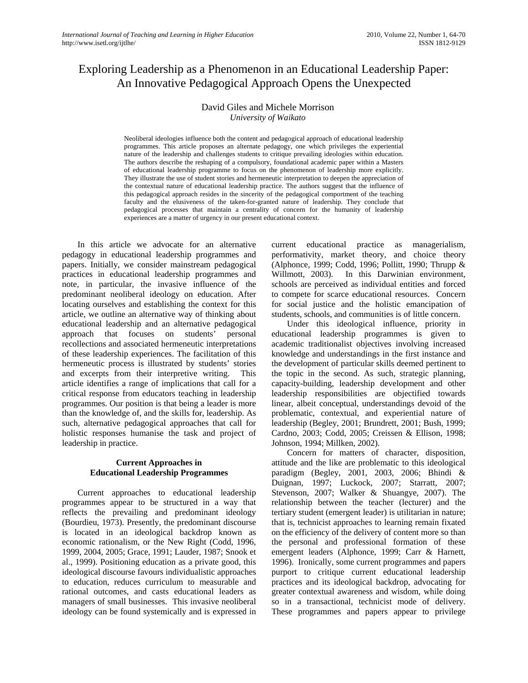# Exploring Leadership as a Phenomenon in an Educational Leadership Paper: An Innovative Pedagogical Approach Opens the Unexpected

# David Giles and Michele Morrison *University of Waikato*

Neoliberal ideologies influence both the content and pedagogical approach of educational leadership programmes. This article proposes an alternate pedagogy, one which privileges the experiential nature of the leadership and challenges students to critique prevailing ideologies within education. The authors describe the reshaping of a compulsory, foundational academic paper within a Masters of educational leadership programme to focus on the phenomenon of leadership more explicitly. They illustrate the use of student stories and hermeneutic interpretation to deepen the appreciation of the contextual nature of educational leadership practice. The authors suggest that the influence of this pedagogical approach resides in the sincerity of the pedagogical comportment of the teaching faculty and the elusiveness of the taken-for-granted nature of leadership. They conclude that pedagogical processes that maintain a centrality of concern for the humanity of leadership experiences are a matter of urgency in our present educational context.

In this article we advocate for an alternative pedagogy in educational leadership programmes and papers. Initially, we consider mainstream pedagogical practices in educational leadership programmes and note, in particular, the invasive influence of the predominant neoliberal ideology on education. After locating ourselves and establishing the context for this article, we outline an alternative way of thinking about educational leadership and an alternative pedagogical approach that focuses on students' personal recollections and associated hermeneutic interpretations of these leadership experiences. The facilitation of this hermeneutic process is illustrated by students' stories and excerpts from their interpretive writing. This article identifies a range of implications that call for a critical response from educators teaching in leadership programmes. Our position is that being a leader is more than the knowledge of, and the skills for, leadership. As such, alternative pedagogical approaches that call for holistic responses humanise the task and project of leadership in practice.

### **Current Approaches in Educational Leadership Programmes**

Current approaches to educational leadership programmes appear to be structured in a way that reflects the prevailing and predominant ideology (Bourdieu, 1973). Presently, the predominant discourse is located in an ideological backdrop known as economic rationalism, or the New Right (Codd, 1996, 1999, 2004, 2005; Grace, 1991; Lauder, 1987; Snook et al., 1999). Positioning education as a private good, this ideological discourse favours individualistic approaches to education, reduces curriculum to measurable and rational outcomes, and casts educational leaders as managers of small businesses. This invasive neoliberal ideology can be found systemically and is expressed in current educational practice as managerialism, performativity, market theory, and choice theory (Alphonce, 1999; Codd, 1996; Pollitt, 1990; Thrupp & Willmott, 2003). In this Darwinian environment, schools are perceived as individual entities and forced to compete for scarce educational resources. Concern for social justice and the holistic emancipation of students, schools, and communities is of little concern.

Under this ideological influence, priority in educational leadership programmes is given to academic traditionalist objectives involving increased knowledge and understandings in the first instance and the development of particular skills deemed pertinent to the topic in the second. As such, strategic planning, capacity-building, leadership development and other leadership responsibilities are objectified towards linear, albeit conceptual, understandings devoid of the problematic, contextual, and experiential nature of leadership (Begley, 2001; Brundrett, 2001; Bush, 1999; Cardno, 2003; Codd, 2005; Creissen & Ellison, 1998; Johnson, 1994; Millken, 2002).

Concern for matters of character, disposition, attitude and the like are problematic to this ideological paradigm (Begley, 2001, 2003, 2006; Bhindi & Duignan, 1997; Luckock, 2007; Starratt, 2007; Stevenson, 2007; Walker & Shuangye, 2007). The relationship between the teacher (lecturer) and the tertiary student (emergent leader) is utilitarian in nature; that is, technicist approaches to learning remain fixated on the efficiency of the delivery of content more so than the personal and professional formation of these emergent leaders (Alphonce, 1999; Carr & Harnett, 1996). Ironically, some current programmes and papers purport to critique current educational leadership practices and its ideological backdrop, advocating for greater contextual awareness and wisdom, while doing so in a transactional, technicist mode of delivery. These programmes and papers appear to privilege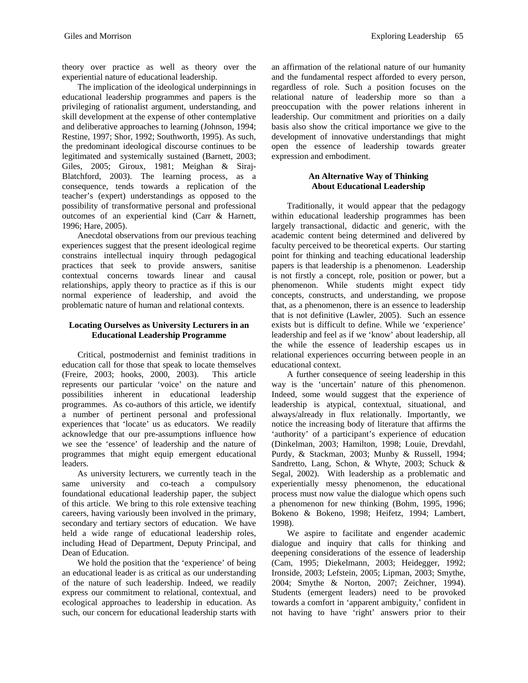theory over practice as well as theory over the experiential nature of educational leadership.

The implication of the ideological underpinnings in educational leadership programmes and papers is the privileging of rationalist argument, understanding, and skill development at the expense of other contemplative and deliberative approaches to learning (Johnson, 1994; Restine, 1997; Shor, 1992; Southworth, 1995). As such, the predominant ideological discourse continues to be legitimated and systemically sustained (Barnett, 2003; Giles, 2005; Giroux, 1981; Meighan & Siraj-Blatchford, 2003). The learning process, as a consequence, tends towards a replication of the teacher's (expert) understandings as opposed to the possibility of transformative personal and professional outcomes of an experiential kind (Carr & Harnett, 1996; Hare, 2005).

Anecdotal observations from our previous teaching experiences suggest that the present ideological regime constrains intellectual inquiry through pedagogical practices that seek to provide answers, sanitise contextual concerns towards linear and causal relationships, apply theory to practice as if this is our normal experience of leadership, and avoid the problematic nature of human and relational contexts.

#### **Locating Ourselves as University Lecturers in an Educational Leadership Programme**

Critical, postmodernist and feminist traditions in education call for those that speak to locate themselves (Freire, 2003; hooks, 2000, 2003). This article represents our particular 'voice' on the nature and possibilities inherent in educational leadership programmes. As co-authors of this article, we identify a number of pertinent personal and professional experiences that 'locate' us as educators. We readily acknowledge that our pre-assumptions influence how we see the 'essence' of leadership and the nature of programmes that might equip emergent educational leaders.

As university lecturers, we currently teach in the same university and co-teach a compulsory foundational educational leadership paper, the subject of this article. We bring to this role extensive teaching careers, having variously been involved in the primary, secondary and tertiary sectors of education. We have held a wide range of educational leadership roles, including Head of Department, Deputy Principal, and Dean of Education.

We hold the position that the 'experience' of being an educational leader is as critical as our understanding of the nature of such leadership. Indeed, we readily express our commitment to relational, contextual, and ecological approaches to leadership in education. As such, our concern for educational leadership starts with

an affirmation of the relational nature of our humanity and the fundamental respect afforded to every person, regardless of role. Such a position focuses on the relational nature of leadership more so than a preoccupation with the power relations inherent in leadership. Our commitment and priorities on a daily basis also show the critical importance we give to the development of innovative understandings that might open the essence of leadership towards greater expression and embodiment.

### **An Alternative Way of Thinking About Educational Leadership**

Traditionally, it would appear that the pedagogy within educational leadership programmes has been largely transactional, didactic and generic, with the academic content being determined and delivered by faculty perceived to be theoretical experts. Our starting point for thinking and teaching educational leadership papers is that leadership is a phenomenon. Leadership is not firstly a concept, role, position or power, but a phenomenon. While students might expect tidy concepts, constructs, and understanding, we propose that, as a phenomenon, there is an essence to leadership that is not definitive (Lawler, 2005). Such an essence exists but is difficult to define. While we 'experience' leadership and feel as if we 'know' about leadership, all the while the essence of leadership escapes us in relational experiences occurring between people in an educational context.

A further consequence of seeing leadership in this way is the 'uncertain' nature of this phenomenon. Indeed, some would suggest that the experience of leadership is atypical, contextual, situational, and always/already in flux relationally. Importantly, we notice the increasing body of literature that affirms the 'authority' of a participant's experience of education (Dinkelman, 2003; Hamilton, 1998; Louie, Drevdahl, Purdy, & Stackman, 2003; Munby & Russell, 1994; Sandretto, Lang, Schon, & Whyte, 2003; Schuck & Segal, 2002).With leadership as a problematic and experientially messy phenomenon, the educational process must now value the dialogue which opens such a phenomenon for new thinking (Bohm, 1995, 1996; Bokeno & Bokeno, 1998; Heifetz, 1994; Lambert, 1998).

We aspire to facilitate and engender academic dialogue and inquiry that calls for thinking and deepening considerations of the essence of leadership (Cam, 1995; Diekelmann, 2003; Heidegger, 1992; Ironside, 2003; Lefstein, 2005; Lipman, 2003; Smythe, 2004; Smythe & Norton, 2007; Zeichner, 1994). Students (emergent leaders) need to be provoked towards a comfort in 'apparent ambiguity,' confident in not having to have 'right' answers prior to their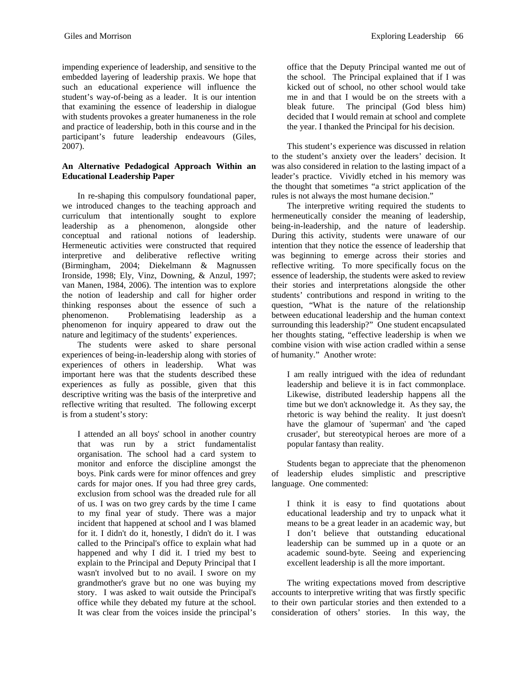impending experience of leadership, and sensitive to the embedded layering of leadership praxis. We hope that such an educational experience will influence the student's way-of-being as a leader. It is our intention that examining the essence of leadership in dialogue with students provokes a greater humaneness in the role and practice of leadership, both in this course and in the participant's future leadership endeavours (Giles, 2007).

# **An Alternative Pedadogical Approach Within an Educational Leadership Paper**

In re-shaping this compulsory foundational paper, we introduced changes to the teaching approach and curriculum that intentionally sought to explore leadership as a phenomenon, alongside other conceptual and rational notions of leadership. Hermeneutic activities were constructed that required interpretive and deliberative reflective writing (Birmingham, 2004; Diekelmann & Magnussen Ironside, 1998; Ely, Vinz, Downing, & Anzul, 1997; van Manen, 1984, 2006). The intention was to explore the notion of leadership and call for higher order thinking responses about the essence of such a phenomenon. Problematising leadership as a phenomenon for inquiry appeared to draw out the nature and legitimacy of the students' experiences.

The students were asked to share personal experiences of being-in-leadership along with stories of experiences of others in leadership. What was important here was that the students described these experiences as fully as possible, given that this descriptive writing was the basis of the interpretive and reflective writing that resulted. The following excerpt is from a student's story:

I attended an all boys' school in another country that was run by a strict fundamentalist organisation. The school had a card system to monitor and enforce the discipline amongst the boys. Pink cards were for minor offences and grey cards for major ones. If you had three grey cards, exclusion from school was the dreaded rule for all of us. I was on two grey cards by the time I came to my final year of study. There was a major incident that happened at school and I was blamed for it. I didn't do it, honestly, I didn't do it. I was called to the Principal's office to explain what had happened and why I did it. I tried my best to explain to the Principal and Deputy Principal that I wasn't involved but to no avail. I swore on my grandmother's grave but no one was buying my story. I was asked to wait outside the Principal's office while they debated my future at the school. It was clear from the voices inside the principal's office that the Deputy Principal wanted me out of the school. The Principal explained that if I was kicked out of school, no other school would take me in and that I would be on the streets with a bleak future. The principal (God bless him) decided that I would remain at school and complete the year. I thanked the Principal for his decision.

This student's experience was discussed in relation to the student's anxiety over the leaders' decision. It was also considered in relation to the lasting impact of a leader's practice. Vividly etched in his memory was the thought that sometimes "a strict application of the rules is not always the most humane decision."

The interpretive writing required the students to hermeneutically consider the meaning of leadership, being-in-leadership, and the nature of leadership. During this activity, students were unaware of our intention that they notice the essence of leadership that was beginning to emerge across their stories and reflective writing. To more specifically focus on the essence of leadership, the students were asked to review their stories and interpretations alongside the other students' contributions and respond in writing to the question, "What is the nature of the relationship between educational leadership and the human context surrounding this leadership?" One student encapsulated her thoughts stating, "effective leadership is when we combine vision with wise action cradled within a sense of humanity." Another wrote:

I am really intrigued with the idea of redundant leadership and believe it is in fact commonplace. Likewise, distributed leadership happens all the time but we don't acknowledge it. As they say, the rhetoric is way behind the reality. It just doesn't have the glamour of 'superman' and 'the caped crusader', but stereotypical heroes are more of a popular fantasy than reality.

Students began to appreciate that the phenomenon of leadership eludes simplistic and prescriptive language. One commented:

I think it is easy to find quotations about educational leadership and try to unpack what it means to be a great leader in an academic way, but I don't believe that outstanding educational leadership can be summed up in a quote or an academic sound-byte. Seeing and experiencing excellent leadership is all the more important.

The writing expectations moved from descriptive accounts to interpretive writing that was firstly specific to their own particular stories and then extended to a consideration of others' stories. In this way, the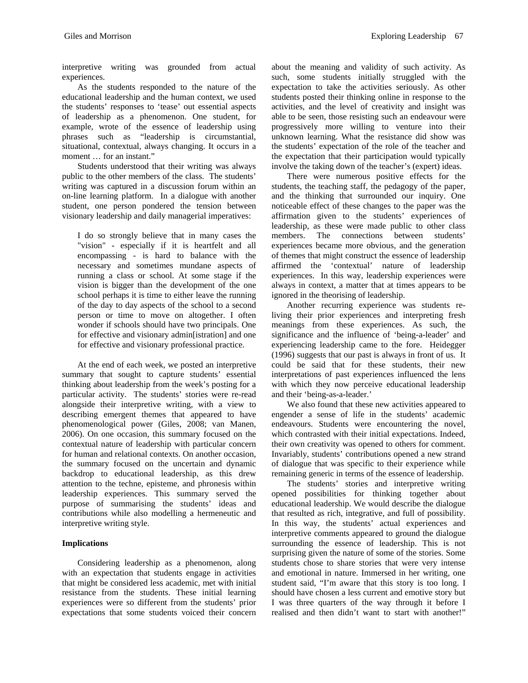interpretive writing was grounded from actual experiences.

As the students responded to the nature of the educational leadership and the human context, we used the students' responses to 'tease' out essential aspects of leadership as a phenomenon. One student, for example, wrote of the essence of leadership using phrases such as "leadership is circumstantial, situational, contextual, always changing. It occurs in a moment … for an instant."

Students understood that their writing was always public to the other members of the class. The students' writing was captured in a discussion forum within an on-line learning platform. In a dialogue with another student, one person pondered the tension between visionary leadership and daily managerial imperatives:

I do so strongly believe that in many cases the "vision" - especially if it is heartfelt and all encompassing - is hard to balance with the necessary and sometimes mundane aspects of running a class or school. At some stage if the vision is bigger than the development of the one school perhaps it is time to either leave the running of the day to day aspects of the school to a second person or time to move on altogether. I often wonder if schools should have two principals. One for effective and visionary admin[istration] and one for effective and visionary professional practice.

At the end of each week, we posted an interpretive summary that sought to capture students' essential thinking about leadership from the week's posting for a particular activity. The students' stories were re-read alongside their interpretive writing, with a view to describing emergent themes that appeared to have phenomenological power (Giles, 2008; van Manen, 2006). On one occasion, this summary focused on the contextual nature of leadership with particular concern for human and relational contexts. On another occasion, the summary focused on the uncertain and dynamic backdrop to educational leadership, as this drew attention to the techne, episteme, and phronesis within leadership experiences. This summary served the purpose of summarising the students' ideas and contributions while also modelling a hermeneutic and interpretive writing style.

# **Implications**

Considering leadership as a phenomenon, along with an expectation that students engage in activities that might be considered less academic, met with initial resistance from the students. These initial learning experiences were so different from the students' prior expectations that some students voiced their concern about the meaning and validity of such activity. As such, some students initially struggled with the expectation to take the activities seriously. As other students posted their thinking online in response to the activities, and the level of creativity and insight was able to be seen, those resisting such an endeavour were progressively more willing to venture into their unknown learning. What the resistance did show was the students' expectation of the role of the teacher and the expectation that their participation would typically involve the taking down of the teacher's (expert) ideas.

There were numerous positive effects for the students, the teaching staff, the pedagogy of the paper, and the thinking that surrounded our inquiry. One noticeable effect of these changes to the paper was the affirmation given to the students' experiences of leadership, as these were made public to other class members. The connections between students' experiences became more obvious, and the generation of themes that might construct the essence of leadership affirmed the 'contextual' nature of leadership experiences. In this way, leadership experiences were always in context, a matter that at times appears to be ignored in the theorising of leadership.

Another recurring experience was students reliving their prior experiences and interpreting fresh meanings from these experiences. As such, the significance and the influence of 'being-a-leader' and experiencing leadership came to the fore. Heidegger (1996) suggests that our past is always in front of us. It could be said that for these students, their new interpretations of past experiences influenced the lens with which they now perceive educational leadership and their 'being-as-a-leader.'

We also found that these new activities appeared to engender a sense of life in the students' academic endeavours. Students were encountering the novel, which contrasted with their initial expectations. Indeed, their own creativity was opened to others for comment. Invariably, students' contributions opened a new strand of dialogue that was specific to their experience while remaining generic in terms of the essence of leadership.

The students' stories and interpretive writing opened possibilities for thinking together about educational leadership. We would describe the dialogue that resulted as rich, integrative, and full of possibility. In this way, the students' actual experiences and interpretive comments appeared to ground the dialogue surrounding the essence of leadership. This is not surprising given the nature of some of the stories. Some students chose to share stories that were very intense and emotional in nature. Immersed in her writing, one student said, "I'm aware that this story is too long. I should have chosen a less current and emotive story but I was three quarters of the way through it before I realised and then didn't want to start with another!"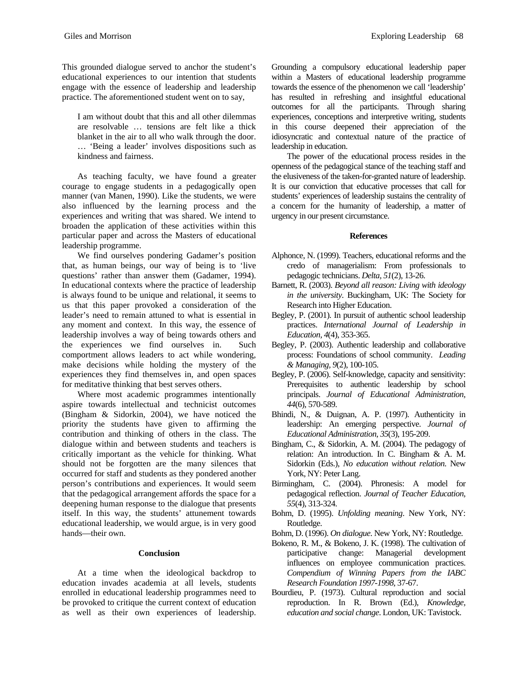This grounded dialogue served to anchor the student's educational experiences to our intention that students engage with the essence of leadership and leadership practice. The aforementioned student went on to say,

I am without doubt that this and all other dilemmas are resolvable … tensions are felt like a thick blanket in the air to all who walk through the door. … 'Being a leader' involves dispositions such as kindness and fairness.

As teaching faculty, we have found a greater courage to engage students in a pedagogically open manner (van Manen, 1990). Like the students, we were also influenced by the learning process and the experiences and writing that was shared. We intend to broaden the application of these activities within this particular paper and across the Masters of educational leadership programme.

We find ourselves pondering Gadamer's position that, as human beings, our way of being is to 'live questions' rather than answer them (Gadamer, 1994). In educational contexts where the practice of leadership is always found to be unique and relational, it seems to us that this paper provoked a consideration of the leader's need to remain attuned to what is essential in any moment and context. In this way, the essence of leadership involves a way of being towards others and the experiences we find ourselves in. Such comportment allows leaders to act while wondering, make decisions while holding the mystery of the experiences they find themselves in, and open spaces for meditative thinking that best serves others.

Where most academic programmes intentionally aspire towards intellectual and technicist outcomes (Bingham & Sidorkin, 2004), we have noticed the priority the students have given to affirming the contribution and thinking of others in the class. The dialogue within and between students and teachers is critically important as the vehicle for thinking. What should not be forgotten are the many silences that occurred for staff and students as they pondered another person's contributions and experiences. It would seem that the pedagogical arrangement affords the space for a deepening human response to the dialogue that presents itself. In this way, the students' attunement towards educational leadership, we would argue, is in very good hands—their own.

#### **Conclusion**

At a time when the ideological backdrop to education invades academia at all levels, students enrolled in educational leadership programmes need to be provoked to critique the current context of education as well as their own experiences of leadership.

Grounding a compulsory educational leadership paper within a Masters of educational leadership programme towards the essence of the phenomenon we call 'leadership' has resulted in refreshing and insightful educational outcomes for all the participants. Through sharing experiences, conceptions and interpretive writing, students in this course deepened their appreciation of the idiosyncratic and contextual nature of the practice of leadership in education.

The power of the educational process resides in the openness of the pedagogical stance of the teaching staff and the elusiveness of the taken-for-granted nature of leadership. It is our conviction that educative processes that call for students' experiences of leadership sustains the centrality of a concern for the humanity of leadership, a matter of urgency in our present circumstance.

#### **References**

- Alphonce, N. (1999). Teachers, educational reforms and the credo of managerialism: From professionals to pedagogic technicians. *Delta, 51*(2), 13-26.
- Barnett, R. (2003). *Beyond all reason: Living with ideology in the university*. Buckingham, UK: The Society for Research into Higher Education.
- Begley, P. (2001). In pursuit of authentic school leadership practices. *International Journal of Leadership in Education, 4*(4), 353-365.
- Begley, P. (2003). Authentic leadership and collaborative process: Foundations of school community. *Leading & Managing, 9*(2), 100-105.
- Begley, P. (2006). Self-knowledge, capacity and sensitivity: Prerequisites to authentic leadership by school principals. *Journal of Educational Administration, 44*(6), 570-589.
- Bhindi, N., & Duignan, A. P. (1997). Authenticity in leadership: An emerging perspective. *Journal of Educational Administration, 35*(3), 195-209.
- Bingham, C., & Sidorkin, A. M. (2004). The pedagogy of relation: An introduction. In C. Bingham & A. M. Sidorkin (Eds.), *No education without relation*. New York, NY: Peter Lang.
- Birmingham, C. (2004). Phronesis: A model for pedagogical reflection. *Journal of Teacher Education, 55*(4), 313-324.
- Bohm, D. (1995). *Unfolding meaning*. New York, NY: Routledge.
- Bohm, D. (1996). *On dialogue*. New York, NY: Routledge.
- Bokeno, R. M., & Bokeno, J. K. (1998). The cultivation of participative change: Managerial development influences on employee communication practices. *Compendium of Winning Papers from the IABC Research Foundation 1997-1998*, 37-67.
- Bourdieu, P. (1973). Cultural reproduction and social reproduction. In R. Brown (Ed.), *Knowledge, education and social change*. London, UK: Tavistock.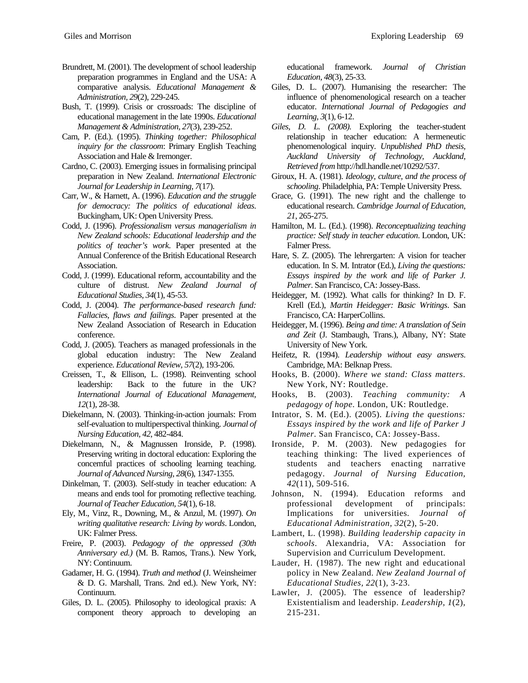- Brundrett, M. (2001). The development of school leadership preparation programmes in England and the USA: A comparative analysis. *Educational Management & Administration, 29*(2), 229-245.
- Bush, T. (1999). Crisis or crossroads: The discipline of educational management in the late 1990s. *Educational Management & Administration, 27*(3), 239-252.
- Cam, P. (Ed.). (1995). *Thinking together: Philosophical inquiry for the classroom*: Primary English Teaching Association and Hale & Iremonger.
- Cardno, C. (2003). Emerging issues in formalising principal preparation in New Zealand. *International Electronic Journal for Leadership in Learning, 7*(17).
- Carr, W., & Harnett, A. (1996). *Education and the struggle for democracy: The politics of educational ideas*. Buckingham, UK: Open University Press.
- Codd, J. (1996). *Professionalism versus managerialism in New Zealand schools: Educational leadership and the politics of teacher's work*. Paper presented at the Annual Conference of the British Educational Research Association.
- Codd, J. (1999). Educational reform, accountability and the culture of distrust. *New Zealand Journal of Educational Studies, 34*(1), 45-53.
- Codd, J. (2004). *The performance-based research fund: Fallacies, flaws and failings*. Paper presented at the New Zealand Association of Research in Education conference.
- Codd, J. (2005). Teachers as managed professionals in the global education industry: The New Zealand experience. *Educational Review, 57*(2), 193-206.
- Creissen, T., & Ellison, L. (1998). Reinventing school leadership: Back to the future in the UK? *International Journal of Educational Management, 12*(1), 28-38.
- Diekelmann, N. (2003). Thinking-in-action journals: From self-evaluation to multiperspectival thinking. *Journal of Nursing Education, 42*, 482-484.
- Diekelmann, N., & Magnussen Ironside, P. (1998). Preserving writing in doctoral education: Exploring the concernful practices of schooling learning teaching. *Journal of Advanced Nursing, 28*(6), 1347-1355.
- Dinkelman, T. (2003). Self-study in teacher education: A means and ends tool for promoting reflective teaching. *Journal of Teacher Education, 54*(1), 6-18.
- Ely, M., Vinz, R., Downing, M., & Anzul, M. (1997). *On writing qualitative research: Living by words*. London, UK: Falmer Press.
- Freire, P. (2003). *Pedagogy of the oppressed (30th Anniversary ed.)* (M. B. Ramos, Trans.). New York, NY: Continuum.
- Gadamer, H. G. (1994). *Truth and method* (J. Weinsheimer & D. G. Marshall, Trans. 2nd ed.). New York, NY: Continuum.
- Giles, D. L. (2005). Philosophy to ideological praxis: A component theory approach to developing an

educational framework. *Journal of Christian Education, 48*(3), 25-33.

- Giles, D. L. (2007). Humanising the researcher: The influence of phenomenological research on a teacher educator. *International Journal of Pedagogies and Learning, 3*(1), 6-12.
- *Giles, D. L. (2008).* Exploring the teacher-student relationship in teacher education: A hermeneutic phenomenological inquiry*. Unpublished PhD thesis, Auckland University of Technology, Auckland, Retrieved from* http://hdl.handle.net/10292/537.
- Giroux, H. A. (1981). *Ideology, culture, and the process of schooling*. Philadelphia, PA: Temple University Press.
- Grace, G. (1991). The new right and the challenge to educational research. *Cambridge Journal of Education, 21*, 265-275.
- Hamilton, M. L. (Ed.). (1998). *Reconceptualizing teaching practice: Self study in teacher education*. London, UK: Falmer Press.
- Hare, S. Z. (2005). The lehrergarten: A vision for teacher education. In S. M. Intrator (Ed.), *Living the questions: Essays inspired by the work and life of Parker J. Palmer*. San Francisco, CA: Jossey-Bass.
- Heidegger, M. (1992). What calls for thinking? In D. F. Krell (Ed.), *Martin Heidegger: Basic Writings*. San Francisco, CA: HarperCollins.
- Heidegger, M. (1996). *Being and time: A translation of Sein and Zeit* (J. Stambaugh, Trans.), Albany, NY: State University of New York.
- Heifetz, R. (1994). *Leadership without easy answers*. Cambridge, MA: Belknap Press.
- Hooks, B. (2000). *Where we stand: Class matters*. New York, NY: Routledge.
- Hooks, B. (2003). *Teaching community: A pedagogy of hope*. London, UK: Routledge.
- Intrator, S. M. (Ed.). (2005). *Living the questions: Essays inspired by the work and life of Parker J Palmer*. San Francisco, CA: Jossey-Bass.
- Ironside, P. M. (2003). New pedagogies for teaching thinking: The lived experiences of students and teachers enacting narrative pedagogy. *Journal of Nursing Education, 42*(11), 509-516.
- Johnson, N. (1994). Education reforms and professional development of principals: Implications for universities. *Journal of Educational Administration, 32*(2), 5-20.
- Lambert, L. (1998). *Building leadership capacity in schools*. Alexandria, VA: Association for Supervision and Curriculum Development.
- Lauder, H. (1987). The new right and educational policy in New Zealand. *New Zealand Journal of Educational Studies, 22*(1), 3-23.
- Lawler, J. (2005). The essence of leadership? Existentialism and leadership. *Leadership, 1*(2), 215-231.